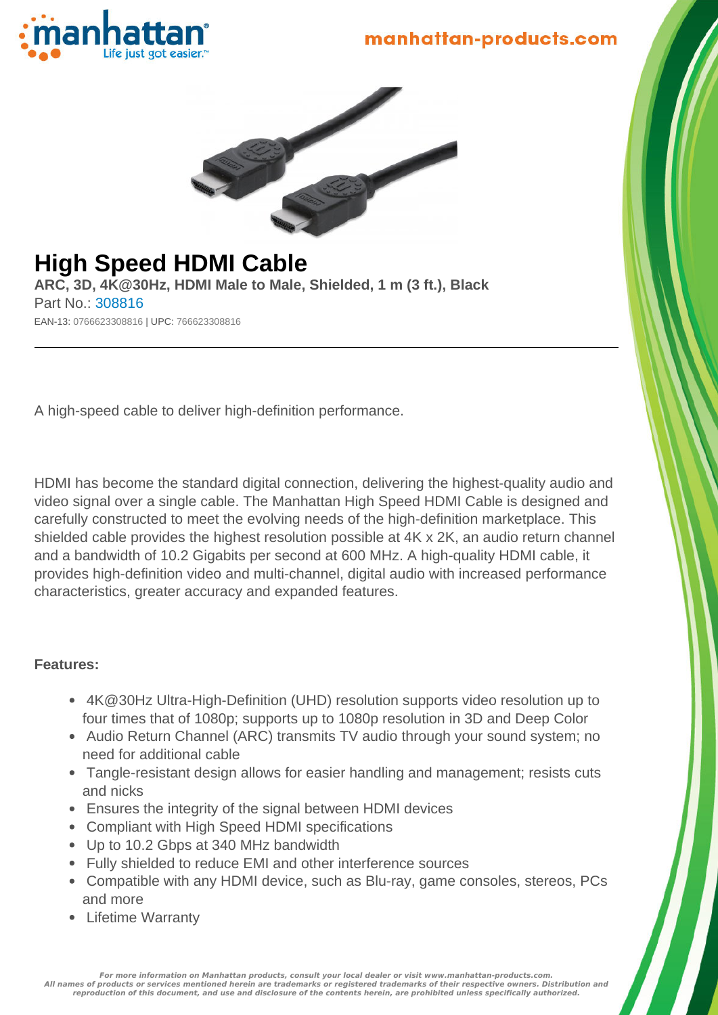



# **High Speed HDMI Cable**

**ARC, 3D, 4K@30Hz, HDMI Male to Male, Shielded, 1 m (3 ft.), Black** Part No.: 308816 EAN-13: 0766623308816 | UPC: 766623308816

A high-speed cable to deliver high-definition performance.

HDMI has become the standard digital connection, delivering the highest-quality audio and video signal over a single cable. The Manhattan High Speed HDMI Cable is designed and carefully constructed to meet the evolving needs of the high-definition marketplace. This shielded cable provides the highest resolution possible at 4K x 2K, an audio return channel and a bandwidth of 10.2 Gigabits per second at 600 MHz. A high-quality HDMI cable, it provides high-definition video and multi-channel, digital audio with increased performance characteristics, greater accuracy and expanded features.

#### **Features:**

- 4K@30Hz Ultra-High-Definition (UHD) resolution supports video resolution up to four times that of 1080p; supports up to 1080p resolution in 3D and Deep Color
- Audio Return Channel (ARC) transmits TV audio through your sound system; no need for additional cable
- Tangle-resistant design allows for easier handling and management; resists cuts and nicks
- Ensures the integrity of the signal between HDMI devices
- Compliant with High Speed HDMI specifications
- Up to 10.2 Gbps at 340 MHz bandwidth
- Fully shielded to reduce EMI and other interference sources
- Compatible with any HDMI device, such as Blu-ray, game consoles, stereos, PCs and more
- Lifetime Warranty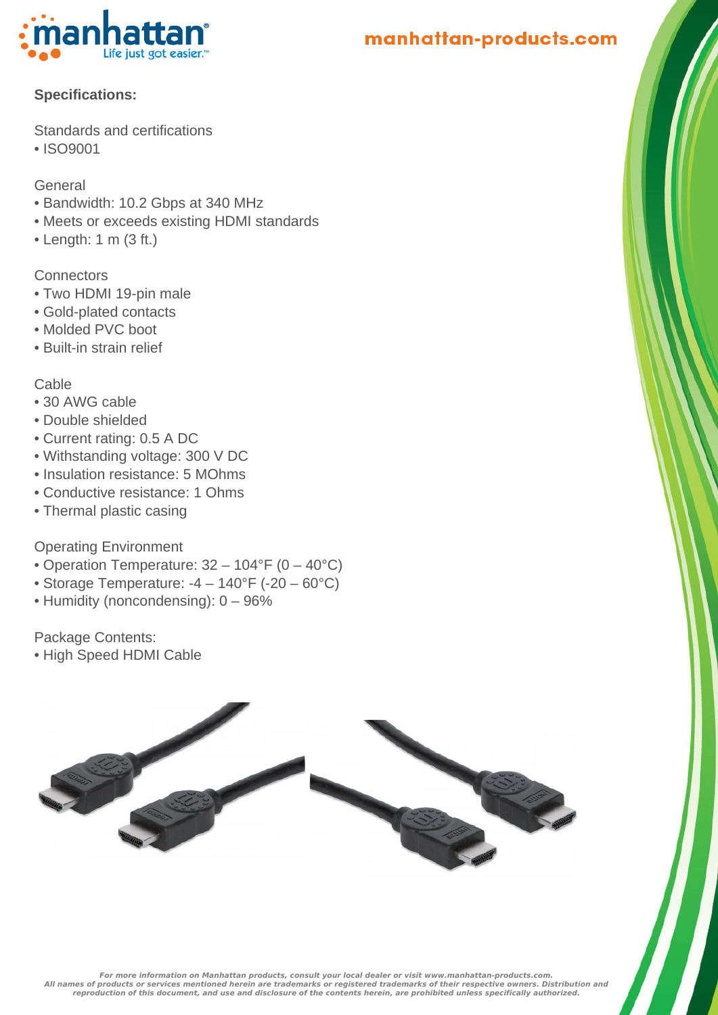

manhattan-products.com

#### **Specifications:**

Standards and certifications

• ISO9001

General

- Bandwidth: 10.2 Gbps at 340 MHz
- Meets or exceeds existing HDMI standards
- $\bullet$  Length: 1 m (3 ft.)

**Connectors** 

- Two HDMI 19-pin male
- Gold-plated contacts
- Molded PVC boot
- Built-in strain relief

Cable

- 30 AWG cable
- Double shielded
- Current rating: 0.5 A DC
- Withstanding voltage: 300 V DC
- Insulation resistance: 5 MOhms
- Conductive resistance: 1 Ohms
- Thermal plastic casing

### Operating Environment

- Operation Temperature: 32 104°F (0 40°C)
- Storage Temperature:  $-4 140^{\circ}F (-20 60^{\circ}C)$
- Humidity (noncondensing): 0 96%

Package Contents:

• High Speed HDMI Cable